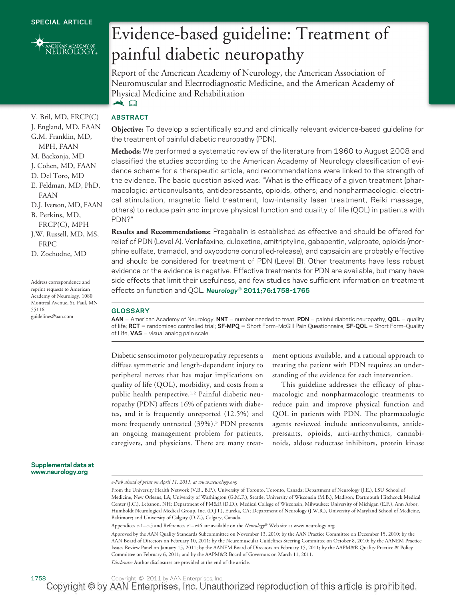<span id="page-0-0"></span>

V. Bril, MD, FRCP(C) J. England, MD, FAAN G.M. Franklin, MD, MPH, FAAN M. Backonja, MD J. Cohen, MD, FAAN D. Del Toro, MD E. Feldman, MD, PhD,

D.J. Iverson, MD, FAAN B. Perkins, MD, FRCP(C), MPH J.W. Russell, MD, MS,

FAAN

FRPC D. Zochodne, MD

55116

Address correspondence and reprint requests to American Academy of Neurology, 1080 Montreal Avenue, St. Paul, MN

guidelines@aan.com

## Evidence-based guideline: Treatment of painful diabetic neuropathy

Report of the American Academy of Neurology, the American Association of Neuromuscular and Electrodiagnostic Medicine, and the American Academy of Physical Medicine and Rehabilitation  $\blacktriangleright$   $\Box$ 

### **ABSTRACT**

**Objective:** To develop a scientifically sound and clinically relevant evidence-based guideline for the treatment of painful diabetic neuropathy (PDN).

**Methods:** We performed a systematic review of the literature from 1960 to August 2008 and classified the studies according to the American Academy of Neurology classification of evidence scheme for a therapeutic article, and recommendations were linked to the strength of the evidence. The basic question asked was: "What is the efficacy of a given treatment (pharmacologic: anticonvulsants, antidepressants, opioids, others; and nonpharmacologic: electrical stimulation, magnetic field treatment, low-intensity laser treatment, Reiki massage, others) to reduce pain and improve physical function and quality of life (QOL) in patients with PDN?"

**Results and Recommendations:** Pregabalin is established as effective and should be offered for relief of PDN (Level A). Venlafaxine, duloxetine, amitriptyline, gabapentin, valproate, opioids (morphine sulfate, tramadol, and oxycodone controlled-release), and capsaicin are probably effective and should be considered for treatment of PDN (Level B). Other treatments have less robust evidence or the evidence is negative. Effective treatments for PDN are available, but many have side effects that limit their usefulness, and few studies have sufficient information on treatment effects on function and QOL. *Neurology*® **2011;76:1758–1765**

#### **GLOSSARY**

AAN = American Academy of Neurology; NNT = number needed to treat; PDN = painful diabetic neuropathy; QOL = quality of life; **RCT** randomized controlled trial; **SF-MPQ** Short Form–McGill Pain Questionnaire; **SF-QOL** Short Form–Quality of Life;  $VAS =$  visual analog pain scale.

Diabetic sensorimotor polyneuropathy represents a diffuse symmetric and length-dependent injury to peripheral nerves that has major implications on quality of life (QOL), morbidity, and costs from a public health perspective.1,2 Painful diabetic neuropathy (PDN) affects 16% of patients with diabetes, and it is frequently unreported (12.5%) and more frequently untreated (39%).3 PDN presents an ongoing management problem for patients, caregivers, and physicians. There are many treat-

ment options available, and a rational approach to treating the patient with PDN requires an understanding of the evidence for each intervention.

This guideline addresses the efficacy of pharmacologic and nonpharmacologic treatments to reduce pain and improve physical function and QOL in patients with PDN. The pharmacologic agents reviewed include anticonvulsants, antidepressants, opioids, anti-arrhythmics, cannabinoids, aldose reductase inhibitors, protein kinase

**Supplemental data at www.neurology.org**

Appendices e-1-e-5 and References e1-e46 are available on the *Neurology®* Web site at [www.neurology.org.](www.neurology.org)

Approved by the AAN Quality Standards Subcommittee on November 13, 2010; by the AAN Practice Committee on December 15, 2010; by the AAN Board of Directors on February 10, 2011; by the Neuromuscular Guidelines Steering Committee on October 8, 2010; by the AANEM Practice Issues Review Panel on January 15, 2011; by the AANEM Board of Directors on February 15, 2011; by the AAPM&R Quality Practice & Policy Committee on February 6, 2011; and by the AAPM&R Board of Governors on March 11, 2011.

*Disclosure:* Author disclosures are provided at the end of the article.

*e-Pub ahead of print on April 11, 2011, at www.neurology.org.*

From the University Health Network (V.B., B.P.), University of Toronto, Toronto, Canada; Department of Neurology (J.E.), LSU School of Medicine, New Orleans, LA; University of Washington (G.M.F.), Seattle; University of Wisconsin (M.B.), Madison; Dartmouth Hitchcock Medical Center (J.C.), Lebanon, NH; Department of PM&R (D.D.), Medical College of Wisconsin, Milwaukee; University of Michigan (E.F.), Ann Arbor; Humboldt Neurological Medical Group, Inc. (D.J.I.), Eureka, CA; Department of Neurology (J.W.R.), University of Maryland School of Medicine, Baltimore; and University of Calgary (D.Z.), Calgary, Canada.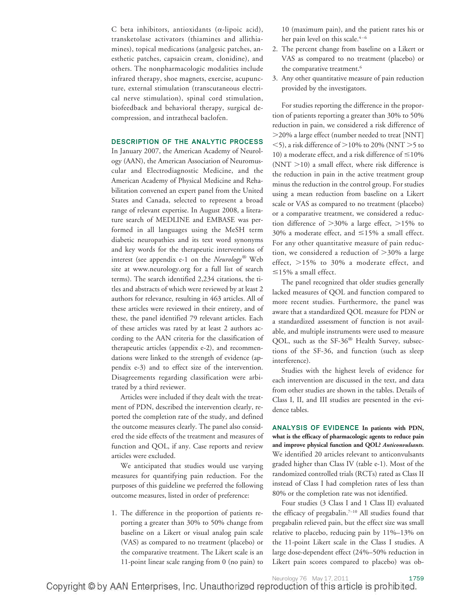C beta inhibitors, antioxidants ( $\alpha$ -lipoic acid), transketolase activators (thiamines and allithiamines), topical medications (analgesic patches, anesthetic patches, capsaicin cream, clonidine), and others. The nonpharmacologic modalities include infrared therapy, shoe magnets, exercise, acupuncture, external stimulation (transcutaneous electrical nerve stimulation), spinal cord stimulation, biofeedback and behavioral therapy, surgical decompression, and intrathecal baclofen.

#### **DESCRIPTION OF THE ANALYTIC PROCESS**

In January 2007, the American Academy of Neurology (AAN), the American Association of Neuromuscular and Electrodiagnostic Medicine, and the American Academy of Physical Medicine and Rehabilitation convened an expert panel from the United States and Canada, selected to represent a broad range of relevant expertise. In August 2008, a literature search of MEDLINE and EMBASE was performed in all languages using the MeSH term diabetic neuropathies and its text word synonyms and key words for the therapeutic interventions of interest (see appendix e-1 on the *Neurology®* Web site at www.neurology.org for a full list of search terms). The search identified 2,234 citations, the titles and abstracts of which were reviewed by at least 2 authors for relevance, resulting in 463 articles. All of these articles were reviewed in their entirety, and of these, the panel identified 79 relevant articles. Each of these articles was rated by at least 2 authors according to the AAN criteria for the classification of therapeutic articles (appendix e-2), and recommendations were linked to the strength of evidence (appendix e-3) and to effect size of the intervention. Disagreements regarding classification were arbitrated by a third reviewer.

Articles were included if they dealt with the treatment of PDN, described the intervention clearly, reported the completion rate of the study, and defined the outcome measures clearly. The panel also considered the side effects of the treatment and measures of function and QOL, if any. Case reports and review articles were excluded.

We anticipated that studies would use varying measures for quantifying pain reduction. For the purposes of this guideline we preferred the following outcome measures, listed in order of preference:

1. The difference in the proportion of patients reporting a greater than 30% to 50% change from baseline on a Likert or visual analog pain scale (VAS) as compared to no treatment (placebo) or the comparative treatment. The Likert scale is an 11-point linear scale ranging from 0 (no pain) to

10 (maximum pain), and the patient rates his or her pain level on this scale.<sup>4-6</sup>

- 2. The percent change from baseline on a Likert or VAS as compared to no treatment (placebo) or the comparative treatment.<sup>6</sup>
- 3. Any other quantitative measure of pain reduction provided by the investigators.

For studies reporting the difference in the proportion of patients reporting a greater than 30% to 50% reduction in pain, we considered a risk difference of -20% a large effect (number needed to treat [NNT]  $\langle 5 \rangle$ , a risk difference of  $>$  10% to 20% (NNT  $>$  5 to 10) a moderate effect, and a risk difference of  $\leq$  10%  $(NNT > 10)$  a small effect, where risk difference is the reduction in pain in the active treatment group minus the reduction in the control group. For studies using a mean reduction from baseline on a Likert scale or VAS as compared to no treatment (placebo) or a comparative treatment, we considered a reduction difference of  $>30\%$  a large effect,  $>15\%$  to 30% a moderate effect, and  $\leq$ 15% a small effect. For any other quantitative measure of pain reduction, we considered a reduction of  $>$ 30% a large effect,  $>15\%$  to 30% a moderate effect, and  $\leq$ 15% a small effect.

The panel recognized that older studies generally lacked measures of QOL and function compared to more recent studies. Furthermore, the panel was aware that a standardized QOL measure for PDN or a standardized assessment of function is not available, and multiple instruments were used to measure QOL, such as the SF-36® Health Survey, subsections of the SF-36, and function (such as sleep interference).

Studies with the highest levels of evidence for each intervention are discussed in the text, and data from other studies are shown in the tables. Details of Class I, II, and III studies are presented in the evidence tables.

**ANALYSIS OF EVIDENCE In patients with PDN, what is the efficacy of pharmacologic agents to reduce pain and improve physical function and QOL?** *Anticonvulsants.* We identified 20 articles relevant to anticonvulsants graded higher than Class IV (table e-1). Most of the randomized controlled trials (RCTs) rated as Class II instead of Class I had completion rates of less than 80% or the completion rate was not identified.

Four studies (3 Class I and 1 Class II) evaluated the efficacy of pregabalin.7–10 All studies found that pregabalin relieved pain, but the effect size was small relative to placebo, reducing pain by 11%–13% on the 11-point Likert scale in the Class I studies. A large dose-dependent effect (24%–50% reduction in Likert pain scores compared to placebo) was ob-

Neurology 76 May 17, 2011 1759 Copyright © by AAN Enterprises, Inc. Unauthorized reproduction of this article is prohibited.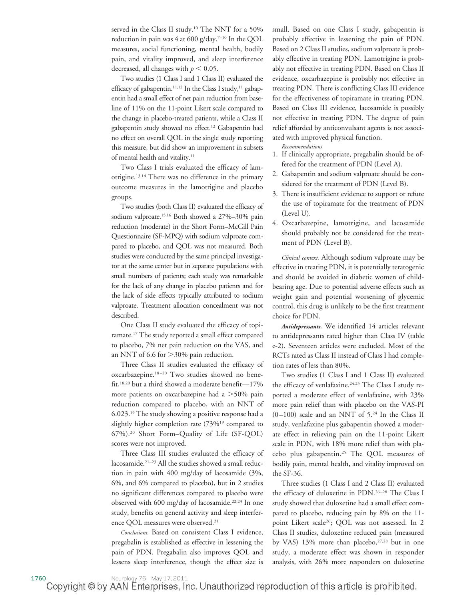served in the Class II study.<sup>10</sup> The NNT for a 50% reduction in pain was 4 at 600 g/day.<sup>7-10</sup> In the QOL measures, social functioning, mental health, bodily pain, and vitality improved, and sleep interference decreased, all changes with  $p < 0.05$ .

Two studies (1 Class I and 1 Class II) evaluated the efficacy of gabapentin.<sup>11,12</sup> In the Class I study,<sup>11</sup> gabapentin had a small effect of net pain reduction from baseline of 11% on the 11-point Likert scale compared to the change in placebo-treated patients, while a Class II gabapentin study showed no effect.12 Gabapentin had no effect on overall QOL in the single study reporting this measure, but did show an improvement in subsets of mental health and vitality.<sup>11</sup>

Two Class I trials evaluated the efficacy of lamotrigine.13,14 There was no difference in the primary outcome measures in the lamotrigine and placebo groups.

Two studies (both Class II) evaluated the efficacy of sodium valproate.15,16 Both showed a 27%–30% pain reduction (moderate) in the Short Form–McGill Pain Questionnaire (SF-MPQ) with sodium valproate compared to placebo, and QOL was not measured. Both studies were conducted by the same principal investigator at the same center but in separate populations with small numbers of patients; each study was remarkable for the lack of any change in placebo patients and for the lack of side effects typically attributed to sodium valproate. Treatment allocation concealment was not described.

One Class II study evaluated the efficacy of topiramate.17 The study reported a small effect compared to placebo, 7% net pain reduction on the VAS, and an NNT of 6.6 for  $>$ 30% pain reduction.

Three Class II studies evaluated the efficacy of oxcarbazepine.<sup>18-20</sup> Two studies showed no benefit,18,20 but a third showed a moderate benefit—17% more patients on oxcarbazepine had a  $>$  50% pain reduction compared to placebo, with an NNT of 6.023.19 The study showing a positive response had a slightly higher completion rate (73%19 compared to 67%).20 Short Form–Quality of Life (SF-QOL) scores were not improved.

Three Class III studies evaluated the efficacy of lacosamide.21–23 All the studies showed a small reduction in pain with 400 mg/day of lacosamide (3%, 6%, and 6% compared to placebo), but in 2 studies no significant differences compared to placebo were observed with 600 mg/day of lacosamide.<sup>22,23</sup> In one study, benefits on general activity and sleep interference QOL measures were observed.21

*Conclusions.* Based on consistent Class I evidence, pregabalin is established as effective in lessening the pain of PDN. Pregabalin also improves QOL and lessens sleep interference, though the effect size is

small. Based on one Class I study, gabapentin is probably effective in lessening the pain of PDN. Based on 2 Class II studies, sodium valproate is probably effective in treating PDN. Lamotrigine is probably not effective in treating PDN. Based on Class II evidence, oxcarbazepine is probably not effective in treating PDN. There is conflicting Class III evidence for the effectiveness of topiramate in treating PDN. Based on Class III evidence, lacosamide is possibly not effective in treating PDN. The degree of pain relief afforded by anticonvulsant agents is not associated with improved physical function.

*Recommendations*

- 1. If clinically appropriate, pregabalin should be offered for the treatment of PDN (Level A).
- 2. Gabapentin and sodium valproate should be considered for the treatment of PDN (Level B).
- 3. There is insufficient evidence to support or refute the use of topiramate for the treatment of PDN (Level U).
- 4. Oxcarbazepine, lamotrigine, and lacosamide should probably not be considered for the treatment of PDN (Level B).

*Clinical context.* Although sodium valproate may be effective in treating PDN, it is potentially teratogenic and should be avoided in diabetic women of childbearing age. Due to potential adverse effects such as weight gain and potential worsening of glycemic control, this drug is unlikely to be the first treatment choice for PDN.

*Antidepressants.* We identified 14 articles relevant to antidepressants rated higher than Class IV (table e-2). Seventeen articles were excluded. Most of the RCTs rated as Class II instead of Class I had completion rates of less than 80%.

Two studies (1 Class I and 1 Class II) evaluated the efficacy of venlafaxine.<sup>24,25</sup> The Class I study reported a moderate effect of venlafaxine, with 23% more pain relief than with placebo on the VAS-PI  $(0-100)$  scale and an NNT of 5.<sup>24</sup> In the Class II study, venlafaxine plus gabapentin showed a moderate effect in relieving pain on the 11-point Likert scale in PDN, with 18% more relief than with placebo plus gabapentin.25 The QOL measures of bodily pain, mental health, and vitality improved on the SF-36.

Three studies (1 Class I and 2 Class II) evaluated the efficacy of duloxetine in PDN.<sup>26-28</sup> The Class I study showed that duloxetine had a small effect compared to placebo, reducing pain by 8% on the 11 point Likert scale<sup>26</sup>; QOL was not assessed. In 2 Class II studies, duloxetine reduced pain (measured by VAS) 13% more than placebo, $27,28$  but in one study, a moderate effect was shown in responder analysis, with 26% more responders on duloxetine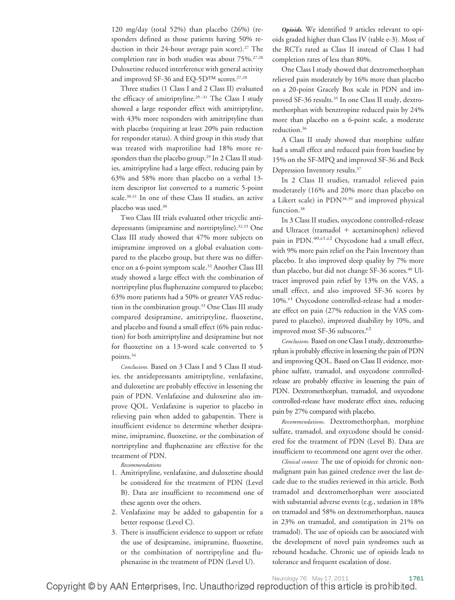120 mg/day (total 52%) than placebo (26%) (responders defined as those patients having 50% reduction in their 24-hour average pain score).<sup>27</sup> The completion rate in both studies was about 75%.27,28 Duloxetine reduced interference with general activity and improved SF-36 and EQ-5D<sup>TM</sup> scores.<sup>27,28</sup>

Three studies (1 Class I and 2 Class II) evaluated the efficacy of amitriptyline.<sup>29-31</sup> The Class I study showed a large responder effect with amitriptyline, with 43% more responders with amitriptyline than with placebo (requiring at least 20% pain reduction for responder status). A third group in this study that was treated with maprotiline had 18% more responders than the placebo group.29 In 2 Class II studies, amitriptyline had a large effect, reducing pain by 63% and 58% more than placebo on a verbal 13 item descriptor list converted to a numeric 5-point scale.30,31 In one of these Class II studies, an active placebo was used.30

Two Class III trials evaluated other tricyclic antidepressants (imipramine and nortriptyline).32,33 One Class III study showed that 47% more subjects on imipramine improved on a global evaluation compared to the placebo group, but there was no difference on a 6-point symptom scale.32 Another Class III study showed a large effect with the combination of nortriptyline plus fluphenazine compared to placebo; 63% more patients had a 50% or greater VAS reduction in the combination group.33 One Class III study compared desipramine, amitriptyline, fluoxetine, and placebo and found a small effect (6% pain reduction) for both amitriptyline and desipramine but not for fluoxetine on a 13-word scale converted to 5 points.34

*Conclusions.* Based on 3 Class I and 5 Class II studies, the antidepressants amitriptyline, venlafaxine, and duloxetine are probably effective in lessening the pain of PDN. Venlafaxine and duloxetine also improve QOL. Venlafaxine is superior to placebo in relieving pain when added to gabapentin. There is insufficient evidence to determine whether desipramine, imipramine, fluoxetine, or the combination of nortriptyline and fluphenazine are effective for the treatment of PDN.

*Recommendations*

- 1. Amitriptyline, venlafaxine, and duloxetine should be considered for the treatment of PDN (Level B). Data are insufficient to recommend one of these agents over the others.
- 2. Venlafaxine may be added to gabapentin for a better response (Level C).
- 3. There is insufficient evidence to support or refute the use of desipramine, imipramine, fluoxetine, or the combination of nortriptyline and fluphenazine in the treatment of PDN (Level U).

*Opioids.* We identified 9 articles relevant to opioids graded higher than Class IV (table e-3). Most of the RCTs rated as Class II instead of Class I had completion rates of less than 80%.

One Class I study showed that dextromethorphan relieved pain moderately by 16% more than placebo on a 20-point Gracely Box scale in PDN and improved SF-36 results.<sup>35</sup> In one Class II study, dextromethorphan with benztropine reduced pain by 24% more than placebo on a 6-point scale, a moderate reduction.36

A Class II study showed that morphine sulfate had a small effect and reduced pain from baseline by 15% on the SF-MPQ and improved SF-36 and Beck Depression Inventory results.<sup>37</sup>

In 2 Class II studies, tramadol relieved pain moderately (16% and 20% more than placebo on a Likert scale) in PDN38,39 and improved physical function.<sup>38</sup>

In 3 Class II studies, oxycodone controlled-release and Ultracet (tramadol  $+$  acetaminophen) relieved pain in PDN.<sup>40,e1,e2</sup> Oxycodone had a small effect, with 9% more pain relief on the Pain Inventory than placebo. It also improved sleep quality by 7% more than placebo, but did not change SF-36 scores.<sup>40</sup> Ultracet improved pain relief by 13% on the VAS, a small effect, and also improved SF-36 scores by 10%.<sup>e1</sup> Oxycodone controlled-release had a moderate effect on pain (27% reduction in the VAS compared to placebo), improved disability by 10%, and improved most SF-36 subscores.<sup>e2</sup>

*Conclusions.* Based on one Class I study, dextromethorphan is probably effective in lessening the pain of PDN and improving QOL. Based on Class II evidence, morphine sulfate, tramadol, and oxycodone controlledrelease are probably effective in lessening the pain of PDN. Dextromethorphan, tramadol, and oxycodone controlled-release have moderate effect sizes, reducing pain by 27% compared with placebo.

*Recommendations.* Dextromethorphan, morphine sulfate, tramadol, and oxycodone should be considered for the treatment of PDN (Level B). Data are insufficient to recommend one agent over the other.

*Clinical context.* The use of opioids for chronic nonmalignant pain has gained credence over the last decade due to the studies reviewed in this article. Both tramadol and dextromethorphan were associated with substantial adverse events (e.g., sedation in 18% on tramadol and 58% on dextromethorphan, nausea in 23% on tramadol, and constipation in 21% on tramadol). The use of opioids can be associated with the development of novel pain syndromes such as rebound headache. Chronic use of opioids leads to tolerance and frequent escalation of dose.

Neurology 76 May 17, 2011 1761 Copyright © by AAN Enterprises, Inc. Unauthorized reproduction of this article is prohibited.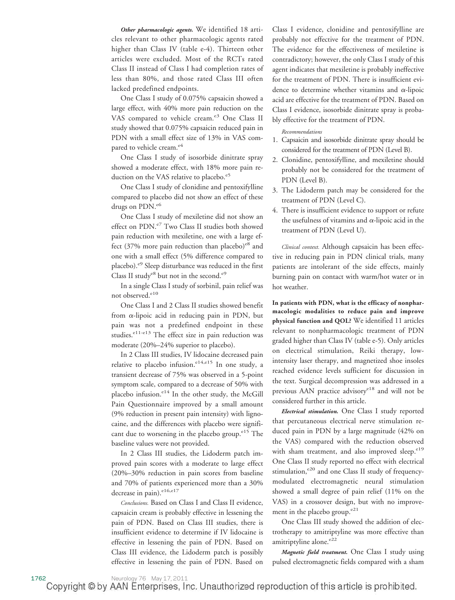*Other pharmacologic agents.* We identified 18 articles relevant to other pharmacologic agents rated higher than Class IV (table e-4). Thirteen other articles were excluded. Most of the RCTs rated Class II instead of Class I had completion rates of less than 80%, and those rated Class III often lacked predefined endpoints.

One Class I study of 0.075% capsaicin showed a large effect, with 40% more pain reduction on the VAS compared to vehicle cream.<sup>e3</sup> One Class II study showed that 0.075% capsaicin reduced pain in PDN with a small effect size of 13% in VAS compared to vehicle cream.<sup>e4</sup>

One Class I study of isosorbide dinitrate spray showed a moderate effect, with 18% more pain reduction on the VAS relative to placebo.<sup>e5</sup>

One Class I study of clonidine and pentoxifylline compared to placebo did not show an effect of these drugs on PDN.<sup>e6</sup>

One Class I study of mexiletine did not show an effect on PDN.<sup>e7</sup> Two Class II studies both showed pain reduction with mexiletine, one with a large effect  $(37\%$  more pain reduction than placebo)<sup>e8</sup> and one with a small effect (5% difference compared to placebo).<sup>e9</sup> Sleep disturbance was reduced in the first Class II study $e^8$  but not in the second. $e^9$ 

In a single Class I study of sorbinil, pain relief was not observed.<sup>e10</sup>

One Class I and 2 Class II studies showed benefit from  $\alpha$ -lipoic acid in reducing pain in PDN, but pain was not a predefined endpoint in these studies.<sup>e11-e13</sup> The effect size in pain reduction was moderate (20%–24% superior to placebo).

In 2 Class III studies, IV lidocaine decreased pain relative to placebo infusion.<sup>e14,e15</sup> In one study, a transient decrease of 75% was observed in a 5-point symptom scale, compared to a decrease of 50% with placebo infusion. $e^{14}$  In the other study, the McGill Pain Questionnaire improved by a small amount (9% reduction in present pain intensity) with lignocaine, and the differences with placebo were significant due to worsening in the placebo group. $e^{15}$  The baseline values were not provided.

In 2 Class III studies, the Lidoderm patch improved pain scores with a moderate to large effect (20%–30% reduction in pain scores from baseline and 70% of patients experienced more than a 30% decrease in pain). $e^{16, e17}$ 

*Conclusions.* Based on Class I and Class II evidence, capsaicin cream is probably effective in lessening the pain of PDN. Based on Class III studies, there is insufficient evidence to determine if IV lidocaine is effective in lessening the pain of PDN. Based on Class III evidence, the Lidoderm patch is possibly effective in lessening the pain of PDN. Based on

Class I evidence, clonidine and pentoxifylline are probably not effective for the treatment of PDN. The evidence for the effectiveness of mexiletine is contradictory; however, the only Class I study of this agent indicates that mexiletine is probably ineffective for the treatment of PDN. There is insufficient evidence to determine whether vitamins and  $\alpha$ -lipoic acid are effective for the treatment of PDN. Based on Class I evidence, isosorbide dinitrate spray is probably effective for the treatment of PDN.

*Recommendations*

- 1. Capsaicin and isosorbide dinitrate spray should be considered for the treatment of PDN (Level B).
- 2. Clonidine, pentoxifylline, and mexiletine should probably not be considered for the treatment of PDN (Level B).
- 3. The Lidoderm patch may be considered for the treatment of PDN (Level C).
- 4. There is insufficient evidence to support or refute the usefulness of vitamins and  $\alpha$ -lipoic acid in the treatment of PDN (Level U).

*Clinical context.* Although capsaicin has been effective in reducing pain in PDN clinical trials, many patients are intolerant of the side effects, mainly burning pain on contact with warm/hot water or in hot weather.

**In patients with PDN, what is the efficacy of nonpharmacologic modalities to reduce pain and improve physical function and QOL?** We identified 11 articles relevant to nonpharmacologic treatment of PDN graded higher than Class IV (table e-5). Only articles on electrical stimulation, Reiki therapy, lowintensity laser therapy, and magnetized shoe insoles reached evidence levels sufficient for discussion in the text. Surgical decompression was addressed in a previous AAN practice advisorye18 and will not be considered further in this article.

*Electrical stimulation.* One Class I study reported that percutaneous electrical nerve stimulation reduced pain in PDN by a large magnitude (42% on the VAS) compared with the reduction observed with sham treatment, and also improved sleep.<sup>e19</sup> One Class II study reported no effect with electrical stimulation, $e^{20}$  and one Class II study of frequencymodulated electromagnetic neural stimulation showed a small degree of pain relief (11% on the VAS) in a crossover design, but with no improvement in the placebo group. $e^{21}$ 

One Class III study showed the addition of electrotherapy to amitriptyline was more effective than amitriptyline alone.<sup>e22</sup>

*Magnetic field treatment.* One Class I study using pulsed electromagnetic fields compared with a sham

Copyright © by AAN Enterprises, Inc. Unauthorized reproduction of this article is prohibited.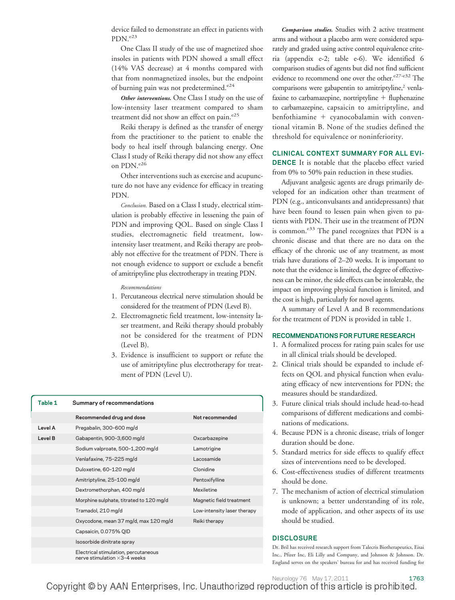device failed to demonstrate an effect in patients with PDN.<sup>e23</sup>

One Class II study of the use of magnetized shoe insoles in patients with PDN showed a small effect (14% VAS decrease) at 4 months compared with that from nonmagnetized insoles, but the endpoint of burning pain was not predetermined.<sup>e24</sup>

*Other interventions.* One Class I study on the use of low-intensity laser treatment compared to sham treatment did not show an effect on pain.<sup>e25</sup>

Reiki therapy is defined as the transfer of energy from the practitioner to the patient to enable the body to heal itself through balancing energy. One Class I study of Reiki therapy did not show any effect on PDN.<sup>e26</sup>

Other interventions such as exercise and acupuncture do not have any evidence for efficacy in treating PDN.

*Conclusion.* Based on a Class I study, electrical stimulation is probably effective in lessening the pain of PDN and improving QOL. Based on single Class I studies, electromagnetic field treatment, lowintensity laser treatment, and Reiki therapy are probably not effective for the treatment of PDN. There is not enough evidence to support or exclude a benefit of amitriptyline plus electrotherapy in treating PDN.

*Recommendations*

- 1. Percutaneous electrical nerve stimulation should be considered for the treatment of PDN (Level B).
- 2. Electromagnetic field treatment, low-intensity laser treatment, and Reiki therapy should probably not be considered for the treatment of PDN (Level B).
- 3. Evidence is insufficient to support or refute the use of amitriptyline plus electrotherapy for treatment of PDN (Level U).

| Table 1 | Summary of recommendations                                                   |                             |
|---------|------------------------------------------------------------------------------|-----------------------------|
|         | Recommended drug and dose                                                    | Not recommended             |
| Level A | Pregabalin, 300-600 mg/d                                                     |                             |
| Level B | Gabapentin, 900-3,600 mg/d                                                   | Oxcarbazepine               |
|         | Sodium valproate, 500-1,200 mg/d                                             | Lamotrigine                 |
|         | Venlafaxine, 75-225 mg/d                                                     | Lacosamide                  |
|         | Duloxetine, 60-120 mg/d                                                      | Clonidine                   |
|         | Amitriptyline, 25-100 mg/d                                                   | Pentoxifylline              |
|         | Dextromethorphan, 400 mg/d                                                   | Mexiletine                  |
|         | Morphine sulphate, titrated to 120 mg/d                                      | Magnetic field treatment    |
|         | Tramadol, 210 mg/d                                                           | Low-intensity laser therapy |
|         | Oxycodone, mean 37 mg/d, max 120 mg/d                                        | Reiki therapy               |
|         | Capsaicin, 0.075% QID                                                        |                             |
|         | Isosorbide dinitrate spray                                                   |                             |
|         | Electrical stimulation, percutaneous<br>nerve stimulation $\times$ 3-4 weeks |                             |

*Comparison studies.* Studies with 2 active treatment arms and without a placebo arm were considered separately and graded using active control equivalence criteria (appendix e-2; table e-6). We identified 6 comparison studies of agents but did not find sufficient evidence to recommend one over the other. $e^{27-e32}$  The comparisons were gabapentin to amitriptyline,<sup>2</sup> venlafaxine to carbamazepine, nortriptyline  $+$  fluphenazine to carbamazepine, capsaicin to amitriptyline, and  $b$ enfothiamine + cyanocobalamin with conventional vitamin B. None of the studies defined the threshold for equivalence or noninferiority.

**CLINICAL CONTEXT SUMMARY FOR ALL EVI-DENCE** It is notable that the placebo effect varied from 0% to 50% pain reduction in these studies.

Adjuvant analgesic agents are drugs primarily developed for an indication other than treatment of PDN (e.g., anticonvulsants and antidepressants) that have been found to lessen pain when given to patients with PDN. Their use in the treatment of PDN is common.<sup>e33</sup> The panel recognizes that PDN is a chronic disease and that there are no data on the efficacy of the chronic use of any treatment, as most trials have durations of 2–20 weeks. It is important to note that the evidence is limited, the degree of effectiveness can be minor, the side effects can be intolerable, the impact on improving physical function is limited, and the cost is high, particularly for novel agents.

A summary of Level A and B recommendations for the treatment of PDN is provided in table 1.

#### **RECOMMENDATIONS FOR FUTURE RESEARCH**

- 1. A formalized process for rating pain scales for use in all clinical trials should be developed.
- 2. Clinical trials should be expanded to include effects on QOL and physical function when evaluating efficacy of new interventions for PDN; the measures should be standardized.
- 3. Future clinical trials should include head-to-head comparisons of different medications and combinations of medications.
- 4. Because PDN is a chronic disease, trials of longer duration should be done.
- 5. Standard metrics for side effects to qualify effect sizes of interventions need to be developed.
- 6. Cost-effectiveness studies of different treatments should be done.
- 7. The mechanism of action of electrical stimulation is unknown; a better understanding of its role, mode of application, and other aspects of its use should be studied.

#### **DISCLOSURE**

Dr. Bril has received research support from Talecris Biotherapeutics, Eisai Inc., Pfizer Inc, Eli Lilly and Company, and Johnson & Johnson. Dr. England serves on the speakers' bureau for and has received funding for

1763<br>Copyright © by AAN Enterprises, Inc. Unauthorized reproduction of this article is prohibited.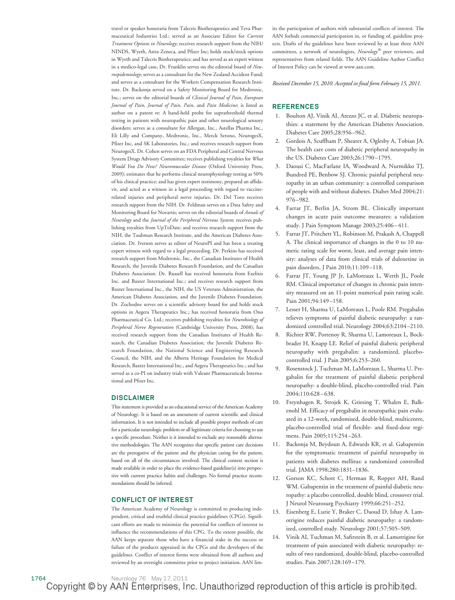travel or speaker honoraria from Talecris Biotherapeutics and Teva Pharmaceutical Industries Ltd.; served as an Associate Editor for *Current Treatment Options in Neurology*; receives research support from the NIH/ NINDS, Wyeth, Astra Zeneca, and Pfizer Inc; holds stock/stock options in Wyeth and Talecris Biotherapeutics; and has served as an expert witness in a medico-legal case**.** Dr. Franklin serves on the editorial board of *Neuroepidemiology*; serves as a consultant for the New Zealand Accident Fund; and serves as a consultant for the Workers Compensation Research Institute. Dr. Backonja served on a Safety Monitoring Board for Medtronic, Inc.; serves on the editorial boards of *Clinical Journal of Pain*, *European Journal of Pain*, *Journal of Pain*, *Pain*, and *Pain Medicine*; is listed as author on a patent re: A hand-held probe for suprathreshold thermal testing in patients with neuropathic pain and other neurological sensory disorders; serves as a consultant for Allergan, Inc., Astellas Pharma Inc., Eli Lilly and Company, Medtronic, Inc., Merck Serono, NeurogesX, Pfizer Inc, and SK Laboratories, Inc.; and receives research support from NeurogesX. Dr. Cohen serves on an FDA Peripheral and Central Nervous System Drugs Advisory Committee; receives publishing royalties for *What Would You Do Now? Neuromuscular Disease* (Oxford University Press, 2009); estimates that he performs clinical neurophysiology testing as 50% of his clinical practice; and has given expert testimony, prepared an affidavit, and acted as a witness in a legal proceeding with regard to vaccinerelated injuries and peripheral nerve injuries. Dr. Del Toro receives research support from the NIH. Dr. Feldman serves on a Data Safety and Monitoring Board for Novartis; serves on the editorial boards of *Annals of Neurology* and the *Journal of the Peripheral Nervous System*; receives publishing royalties from UpToDate; and receives research support from the NIH, the Taubman Research Institute, and the American Diabetes Association. Dr. Iverson serves as editor of NeuroPI and has been a treating expert witness with regard to a legal proceeding. Dr. Perkins has received research support from Medtronic, Inc., the Canadian Institutes of Health Research, the Juvenile Diabetes Research Foundation, and the Canadian Diabetes Association. Dr. Russell has received honoraria from Exelixis Inc. and Baxter International Inc.; and receives research support from Baxter International Inc., the NIH, the US Veterans Administration, the American Diabetes Association, and the Juvenile Diabetes Foundation. Dr. Zochodne serves on a scientific advisory board for and holds stock options in Aegera Therapeutics Inc.; has received honoraria from Ono Pharmaceutical Co. Ltd.; receives publishing royalties for *Neurobiology of Peripheral Nerve Regeneration* (Cambridge University Press, 2008); has received research support from the Canadian Institutes of Health Research, the Canadian Diabetes Association, the Juvenile Diabetes Research Foundation, the National Science and Engineering Research Council, the NIH, and the Alberta Heritage Foundation for Medical Research, Baxter International Inc., and Aegera Therapeutics Inc.; and has served as a co-PI on industry trials with Valeant Pharmaceuticals International and Pfizer Inc.

#### **DISCLAIMER**

This statement is provided as an educational service of the American Academy of Neurology. It is based on an assessment of current scientific and clinical information. It is not intended to include all possible proper methods of care for a particular neurologic problem or all legitimate criteria for choosing to use a specific procedure. Neither is it intended to exclude any reasonable alternative methodologies. The AAN recognizes that specific patient care decisions are the prerogative of the patient and the physician caring for the patient, based on all of the circumstances involved. The clinical context section is made available in order to place the evidence-based guideline(s) into perspective with current practice habits and challenges. No formal practice recommendations should be inferred.

#### **CONFLICT OF INTEREST**

The American Academy of Neurology is committed to producing independent, critical and truthful clinical practice guidelines (CPGs). Significant efforts are made to minimize the potential for conflicts of interest to influence the recommendations of this CPG. To the extent possible, the AAN keeps separate those who have a financial stake in the success or failure of the products appraised in the CPGs and the developers of the guidelines. Conflict of interest forms were obtained from all authors and reviewed by an oversight committee prior to project initiation. AAN limits the participation of authors with substantial conflicts of interest. The AAN forbids commercial participation in, or funding of, guideline projects. Drafts of the guidelines have been reviewed by at least three AAN committees, a network of neurologists, *Neurology®* peer reviewers, and representatives from related fields. The AAN Guideline Author Conflict of Interest Policy can be viewed at www.aan.com.

*Received December 15, 2010. Accepted in final form February 15, 2011.*

#### **REFERENCES**

- 1. Boulton AJ, Vinik AI, Arezzo JC, et al. Diabetic neuropathies: a statement by the American Diabetes Association. Diabetes Care 2005;28:956 –962.
- 2. Gordois A, Scuffham P, Shearer A, Oglesby A, Tobian JA. The health care costs of diabetic peripheral neuropathy in the US. Diabetes Care 2003;26:1790 –1795.
- 3. Daousi C, MacFarlane IA, Woodward A, Nurmikko TJ, Bundred PE, Benbow SJ. Chronic painful peripheral neuropathy in an urban community: a controlled comparison of people with and without diabetes. Diabet Med 2004;21: 976 –982.
- 4. Farrar JT, Berlin JA, Strom BL. Clinically important changes in acute pain outcome measures: a validation study. J Pain Symptom Manage 2003;25:406 – 411.
- 5. Farrar JT, Pritchett YL, Robinson M, Prakash A, Chappell A. The clinical importance of changes in the 0 to 10 numeric rating scale for worst, least, and average pain intensity: analyses of data from clinical trials of duloxetine in pain disorders. J Pain 2010;11:109 –118.
- 6. Farrar JT, Young JP Jr, LaMoreaux L, Werth JL, Poole RM. Clinical importance of changes in chronic pain intensity measured on an 11-point numerical pain rating scale. Pain 2001;94:149-158.
- 7. Lesser H, Sharma U, LaMoreaux L, Poole RM. Pregabalin relieves symptoms of painful diabetic neuropathy: a randomized controlled trial. Neurology 2004;63:2104 –2110.
- 8. Richter RW, Portenoy R, Sharma U, Lamoreaux L, Bockbrader H, Knapp LE. Relief of painful diabetic peripheral neuropathy with pregabalin: a randomized, placebocontrolled trial. J Pain 2005;6:253–260.
- 9. Rosenstock J, Tuchman M, LaMoreaux L, Sharma U. Pregabalin for the treatment of painful diabetic peripheral neuropathy: a double-blind, placebo-controlled trial. Pain 2004;110:628 – 638.
- 10. Freynhagen R, Strojek K, Griesing T, Whalen E, Balkenohl M. Efficacy of pregabalin in neuropathic pain evaluated in a 12-week, randomised, double-blind, multicentre, placebo-controlled trial of flexible- and fixed-dose regimens. Pain 2005;115:254 –263.
- 11. Backonja M, Beydoun A, Edwards KR, et al. Gabapentin for the symptomatic treatment of painful neuropathy in patients with diabetes mellitus: a randomized controlled trial. JAMA 1998;280:1831–1836.
- 12. Gorson KC, Schott C, Herman R, Ropper AH, Rand WM. Gabapentin in the treatment of painful diabetic neuropathy: a placebo controlled, double blind, crossover trial. J Neurol Neurosurg Psychiatry 1999;66:251–252.
- 13. Eisenberg E, Lurie Y, Braker C, Daoud D, Ishay A. Lamotrigine reduces painful diabetic neuropathy: a randomized, controlled study. Neurology 2001;57:505–509.
- 14. Vinik AI, Tuchman M, Safirstein B, et al. Lamotrigine for treatment of pain associated with diabetic neuropathy: results of two randomized, double-blind, placebo-controlled studies. Pain 2007;128:169 –179.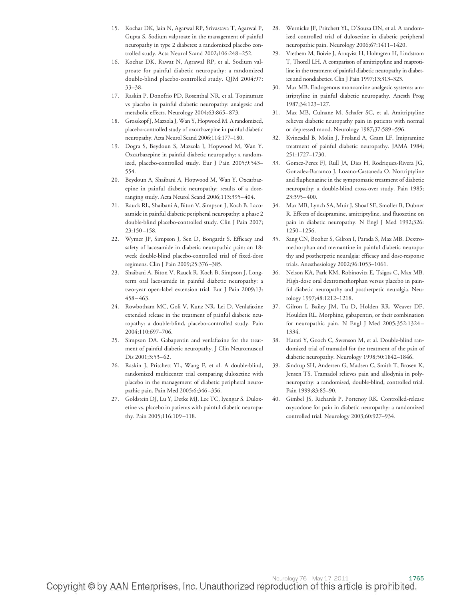- 15. Kochar DK, Jain N, Agarwal RP, Srivastava T, Agarwal P, Gupta S. Sodium valproate in the management of painful neuropathy in type 2 diabetes: a randomized placebo controlled study. Acta Neurol Scand 2002;106:248 –252.
- 16. Kochar DK, Rawat N, Agrawal RP, et al. Sodium valproate for painful diabetic neuropathy: a randomized double-blind placebo-controlled study. QJM 2004;97: 33–38.
- 17. Raskin P, Donofrio PD, Rosenthal NR, et al. Topiramate vs placebo in painful diabetic neuropathy: analgesic and metabolic effects. Neurology 2004;63:865– 873.
- 18. Grosskopf J, Mazzola J, Wan Y, Hopwood M. A randomized, placebo-controlled study of oxcarbazepine in painful diabetic neuropathy. Acta Neurol Scand 2006;114:177–180.
- 19. Dogra S, Beydoun S, Mazzola J, Hopwood M, Wan Y. Oxcarbazepine in painful diabetic neuropathy: a randomized, placebo-controlled study. Eur J Pain 2005;9:543– 554.
- 20. Beydoun A, Shaibani A, Hopwood M, Wan Y. Oxcarbazepine in painful diabetic neuropathy: results of a doseranging study. Acta Neurol Scand 2006;113:395– 404.
- 21. Rauck RL, Shaibani A, Biton V, Simpson J, Koch B. Lacosamide in painful diabetic peripheral neuropathy: a phase 2 double-blind placebo-controlled study. Clin J Pain 2007; 23:150 –158.
- 22. Wymer JP, Simpson J, Sen D, Bongardt S. Efficacy and safety of lacosamide in diabetic neuropathic pain: an 18 week double-blind placebo-controlled trial of fixed-dose regimens. Clin J Pain 2009;25:376 –385.
- 23. Shaibani A, Biton V, Rauck R, Koch B, Simpson J. Longterm oral lacosamide in painful diabetic neuropathy: a two-year open-label extension trial. Eur J Pain 2009;13: 458 – 463.
- 24. Rowbotham MC, Goli V, Kunz NR, Lei D. Venlafaxine extended release in the treatment of painful diabetic neuropathy: a double-blind, placebo-controlled study. Pain 2004;110:697–706.
- 25. Simpson DA. Gabapentin and venlafaxine for the treatment of painful diabetic neuropathy. J Clin Neuromuscul Dis 2001;3:53-62.
- 26. Raskin J, Pritchett YL, Wang F, et al. A double-blind, randomized multicenter trial comparing duloxetine with placebo in the management of diabetic peripheral neuropathic pain. Pain Med 2005;6:346 –356.
- 27. Goldstein DJ, Lu Y, Detke MJ, Lee TC, Iyengar S. Duloxetine vs. placebo in patients with painful diabetic neuropathy. Pain 2005;116:109 –118.
- 28. Wernicke JF, Pritchett YL, D'Souza DN, et al. A randomized controlled trial of duloxetine in diabetic peripheral neuropathic pain. Neurology 2006;67:1411–1420.
- 29. Vrethem M, Boivie J, Arnqvist H, Holmgren H, Lindstrom T, Thorell LH. A comparison of amitriptyline and maprotiline in the treatment of painful diabetic neuropathy in diabetics and nondiabetics. Clin J Pain 1997;13:313–323.
- 30. Max MB. Endogenous monoamine analgesic systems: amitriptyline in painful diabetic neuropathy. Anesth Prog 1987;34:123–127.
- 31. Max MB, Culnane M, Schafer SC, et al. Amitriptyline relieves diabetic neuropathy pain in patients with normal or depressed mood. Neurology 1987;37:589 –596.
- 32. Kvinesdal B, Molin J, Froland A, Gram LF. Imipramine treatment of painful diabetic neuropathy. JAMA 1984; 251:1727–1730.
- 33. Gomez-Perez FJ, Rull JA, Dies H, Rodriquez-Rivera JG, Gonzalez-Barranco J, Lozano-Castaneda O. Nortriptyline and fluphenazine in the symptomatic treatment of diabetic neuropathy: a double-blind cross-over study. Pain 1985; 23:395– 400.
- 34. Max MB, Lynch SA, Muir J, Shoaf SE, Smoller B, Dubner R. Effects of desipramine, amitriptyline, and fluoxetine on pain in diabetic neuropathy. N Engl J Med 1992;326: 1250 –1256.
- 35. Sang CN, Booher S, Gilron I, Parada S, Max MB. Dextromethorphan and memantine in painful diabetic neuropathy and postherpetic neuralgia: efficacy and dose-response trials. Anesthesiology 2002;96:1053–1061.
- 36. Nelson KA, Park KM, Robinovitz E, Tsigos C, Max MB. High-dose oral dextromethorphan versus placebo in painful diabetic neuropathy and postherpetic neuralgia. Neurology 1997;48:1212–1218.
- 37. Gilron I, Bailey JM, Tu D, Holden RR, Weaver DF, Houlden RL. Morphine, gabapentin, or their combination for neuropathic pain. N Engl J Med 2005;352:1324 – 1334.
- 38. Harati Y, Gooch C, Swenson M, et al. Double-blind randomized trial of tramadol for the treatment of the pain of diabetic neuropathy. Neurology 1998;50:1842–1846.
- 39. Sindrup SH, Andersen G, Madsen C, Smith T, Brosen K, Jensen TS. Tramadol relieves pain and allodynia in polyneuropathy: a randomised, double-blind, controlled trial. Pain 1999.83.85-90.
- 40. Gimbel JS, Richards P, Portenoy RK. Controlled-release oxycodone for pain in diabetic neuropathy: a randomized controlled trial. Neurology 2003;60:927–934.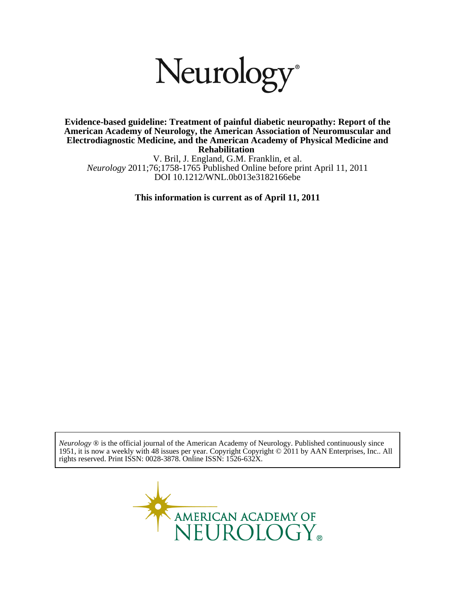# Neurology<sup>®</sup>

**Rehabilitation Electrodiagnostic Medicine, and the American Academy of Physical Medicine and American Academy of Neurology, the American Association of Neuromuscular and Evidence-based guideline: Treatment of painful diabetic neuropathy: Report of the**

DOI 10.1212/WNL.0b013e3182166ebe *Neurology* 2011;76;1758-1765 Published Online before print April 11, 2011 V. Bril, J. England, G.M. Franklin, et al.

**This information is current as of April 11, 2011**

rights reserved. Print ISSN: 0028-3878. Online ISSN: 1526-632X. 1951, it is now a weekly with 48 issues per year. Copyright Copyright © 2011 by AAN Enterprises, Inc.. All *Neurology* ® is the official journal of the American Academy of Neurology. Published continuously since

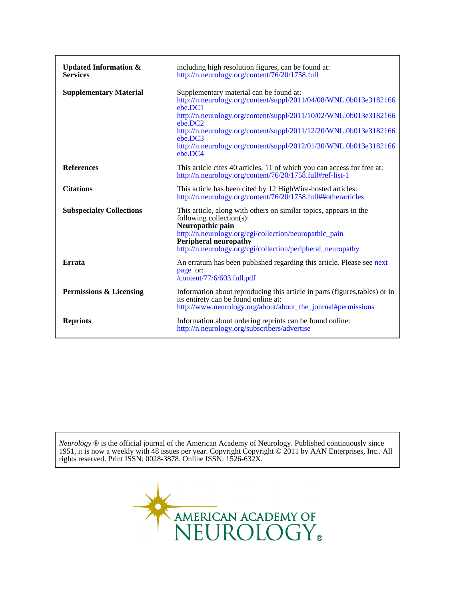| <b>Updated Information &amp;</b><br><b>Services</b> | including high resolution figures, can be found at:<br>http://n.neurology.org/content/76/20/1758.full                                                                                                                                                                                                                                                                   |
|-----------------------------------------------------|-------------------------------------------------------------------------------------------------------------------------------------------------------------------------------------------------------------------------------------------------------------------------------------------------------------------------------------------------------------------------|
| <b>Supplementary Material</b>                       | Supplementary material can be found at:<br>http://n.neurology.org/content/suppl/2011/04/08/WNL.0b013e3182166<br>ebe.DC1<br>http://n.neurology.org/content/suppl/2011/10/02/WNL.0b013e3182166<br>ebe.DC2<br>http://n.neurology.org/content/suppl/2011/12/20/WNL.0b013e3182166<br>ebe.DC3<br>http://n.neurology.org/content/suppl/2012/01/30/WNL.0b013e3182166<br>ebe.DC4 |
| <b>References</b>                                   | This article cites 40 articles, 11 of which you can access for free at:<br>http://n.neurology.org/content/76/20/1758.full#ref-list-1                                                                                                                                                                                                                                    |
| <b>Citations</b>                                    | This article has been cited by 12 High Wire-hosted articles:<br>http://n.neurology.org/content/76/20/1758.full##otherarticles                                                                                                                                                                                                                                           |
| <b>Subspecialty Collections</b>                     | This article, along with others on similar topics, appears in the<br>following collection(s):<br>Neuropathic pain<br>http://n.neurology.org/cgi/collection/neuropathic_pain<br><b>Peripheral neuropathy</b><br>http://n.neurology.org/cgi/collection/peripheral_neuropathy                                                                                              |
| <b>Errata</b>                                       | An erratum has been published regarding this article. Please see next<br>page or:<br>/content/77/6/603.full.pdf                                                                                                                                                                                                                                                         |
| <b>Permissions &amp; Licensing</b>                  | Information about reproducing this article in parts (figures, tables) or in<br>its entirety can be found online at:<br>http://www.neurology.org/about/about_the_journal#permissions                                                                                                                                                                                     |
| <b>Reprints</b>                                     | Information about ordering reprints can be found online:<br>http://n.neurology.org/subscribers/advertise                                                                                                                                                                                                                                                                |

rights reserved. Print ISSN: 0028-3878. Online ISSN: 1526-632X. 1951, it is now a weekly with 48 issues per year. Copyright Copyright © 2011 by AAN Enterprises, Inc.. All *Neurology* ® is the official journal of the American Academy of Neurology. Published continuously since